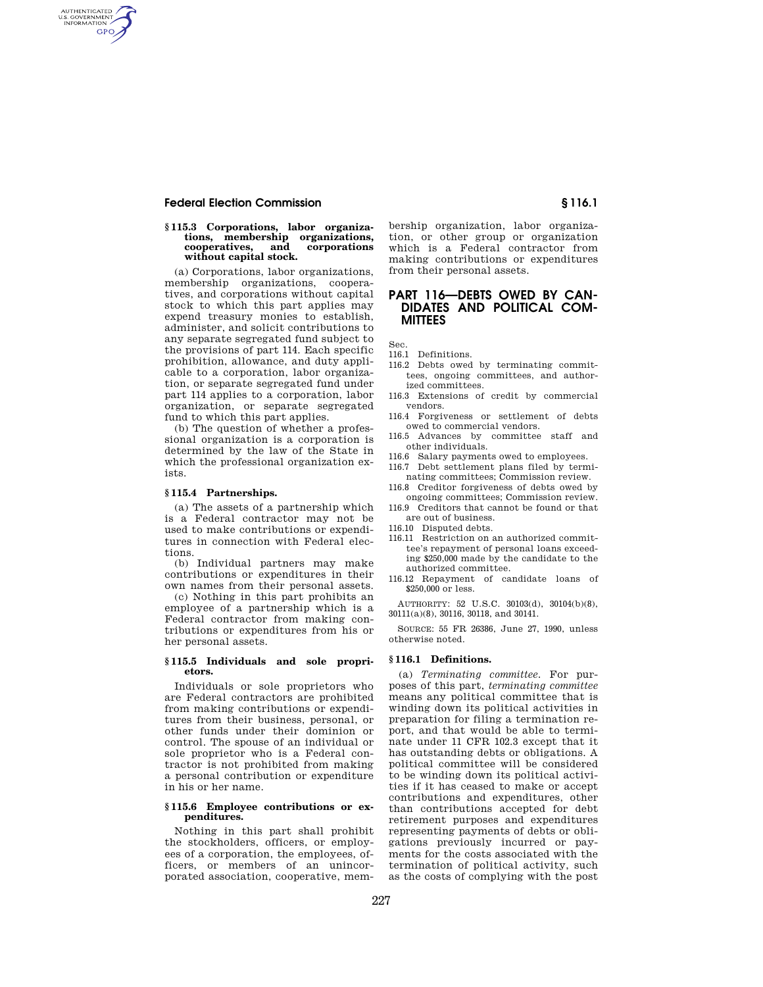AUTHENTICATED<br>U.S. GOVERNMENT<br>INFORMATION **GPO** 

## **§ 115.3 Corporations, labor organizations, membership organizations, cooperatives, and corporations without capital stock.**

(a) Corporations, labor organizations, membership organizations, cooperatives, and corporations without capital stock to which this part applies may expend treasury monies to establish, administer, and solicit contributions to any separate segregated fund subject to the provisions of part 114. Each specific prohibition, allowance, and duty applicable to a corporation, labor organization, or separate segregated fund under part 114 applies to a corporation, labor organization, or separate segregated fund to which this part applies.

(b) The question of whether a professional organization is a corporation is determined by the law of the State in which the professional organization exists.

## **§ 115.4 Partnerships.**

(a) The assets of a partnership which is a Federal contractor may not be used to make contributions or expenditures in connection with Federal elections.

(b) Individual partners may make contributions or expenditures in their own names from their personal assets.

(c) Nothing in this part prohibits an employee of a partnership which is a Federal contractor from making contributions or expenditures from his or her personal assets.

## **§ 115.5 Individuals and sole proprietors.**

Individuals or sole proprietors who are Federal contractors are prohibited from making contributions or expenditures from their business, personal, or other funds under their dominion or control. The spouse of an individual or sole proprietor who is a Federal contractor is not prohibited from making a personal contribution or expenditure in his or her name.

## **§ 115.6 Employee contributions or expenditures.**

Nothing in this part shall prohibit the stockholders, officers, or employees of a corporation, the employees, officers, or members of an unincorporated association, cooperative, membership organization, labor organization, or other group or organization which is a Federal contractor from making contributions or expenditures from their personal assets.

# **PART 116—DEBTS OWED BY CAN-DIDATES AND POLITICAL COM-MITTEES**

Sec.

- 116.1 Definitions.
- 116.2 Debts owed by terminating committees, ongoing committees, and authorized committees.
- 116.3 Extensions of credit by commercial vendors.
- 116.4 Forgiveness or settlement of debts owed to commercial vendors.
- 116.5 Advances by committee staff and other individuals.
- 116.6 Salary payments owed to employees.
- 116.7 Debt settlement plans filed by terminating committees; Commission review.
- 116.8 Creditor forgiveness of debts owed by
- ongoing committees; Commission review. 116.9 Creditors that cannot be found or that are out of business.
- 116.10 Disputed debts.
- 116.11 Restriction on an authorized committee's repayment of personal loans exceeding \$250,000 made by the candidate to the authorized committee.
- 116.12 Repayment of candidate loans of \$250,000 or less.

AUTHORITY: 52 U.S.C. 30103(d), 30104(b)(8), 30111(a)(8), 30116, 30118, and 30141.

SOURCE: 55 FR 26386, June 27, 1990, unless otherwise noted.

### **§ 116.1 Definitions.**

(a) *Terminating committee.* For purposes of this part, *terminating committee*  means any political committee that is winding down its political activities in preparation for filing a termination report, and that would be able to terminate under 11 CFR 102.3 except that it has outstanding debts or obligations. A political committee will be considered to be winding down its political activities if it has ceased to make or accept contributions and expenditures, other than contributions accepted for debt retirement purposes and expenditures representing payments of debts or obligations previously incurred or payments for the costs associated with the termination of political activity, such as the costs of complying with the post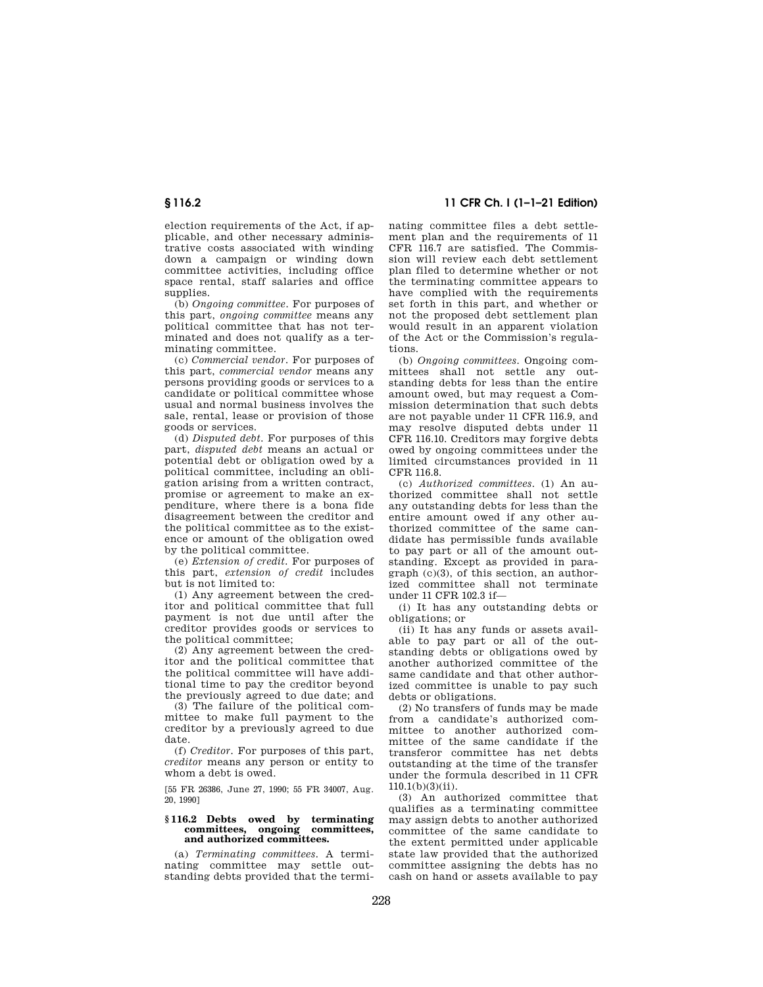election requirements of the Act, if applicable, and other necessary administrative costs associated with winding down a campaign or winding down committee activities, including office space rental, staff salaries and office supplies

(b) *Ongoing committee.* For purposes of this part, *ongoing committee* means any political committee that has not terminated and does not qualify as a terminating committee.

(c) *Commercial vendor.* For purposes of this part, *commercial vendor* means any persons providing goods or services to a candidate or political committee whose usual and normal business involves the sale, rental, lease or provision of those goods or services.

(d) *Disputed debt.* For purposes of this part, *disputed debt* means an actual or potential debt or obligation owed by a political committee, including an obligation arising from a written contract, promise or agreement to make an expenditure, where there is a bona fide disagreement between the creditor and the political committee as to the existence or amount of the obligation owed by the political committee.

(e) *Extension of credit.* For purposes of this part, *extension of credit* includes but is not limited to:

(1) Any agreement between the creditor and political committee that full payment is not due until after the creditor provides goods or services to the political committee;

(2) Any agreement between the creditor and the political committee that the political committee will have additional time to pay the creditor beyond the previously agreed to due date; and

(3) The failure of the political committee to make full payment to the creditor by a previously agreed to due date.

(f) *Creditor.* For purposes of this part, *creditor* means any person or entity to whom a debt is owed.

[55 FR 26386, June 27, 1990; 55 FR 34007, Aug. 20, 1990]

### **§ 116.2 Debts owed by terminating committees, ongoing committees, and authorized committees.**

(a) *Terminating committees.* A terminating committee may settle outstanding debts provided that the termi-

**§ 116.2 11 CFR Ch. I (1–1–21 Edition)** 

nating committee files a debt settlement plan and the requirements of 11 CFR 116.7 are satisfied. The Commission will review each debt settlement plan filed to determine whether or not the terminating committee appears to have complied with the requirements set forth in this part, and whether or not the proposed debt settlement plan would result in an apparent violation of the Act or the Commission's regulations.

(b) *Ongoing committees.* Ongoing committees shall not settle any outstanding debts for less than the entire amount owed, but may request a Commission determination that such debts are not payable under 11 CFR 116.9, and may resolve disputed debts under 11 CFR 116.10. Creditors may forgive debts owed by ongoing committees under the limited circumstances provided in 11 CFR 116.8.

(c) *Authorized committees.* (1) An authorized committee shall not settle any outstanding debts for less than the entire amount owed if any other authorized committee of the same candidate has permissible funds available to pay part or all of the amount outstanding. Except as provided in paragraph (c)(3), of this section, an authorized committee shall not terminate under 11 CFR 102.3 if—

(i) It has any outstanding debts or obligations; or

(ii) It has any funds or assets available to pay part or all of the outstanding debts or obligations owed by another authorized committee of the same candidate and that other authorized committee is unable to pay such debts or obligations.

(2) No transfers of funds may be made from a candidate's authorized committee to another authorized committee of the same candidate if the transferor committee has net debts outstanding at the time of the transfer under the formula described in 11 CFR  $110.1(b)(3)(ii)$ .

(3) An authorized committee that qualifies as a terminating committee may assign debts to another authorized committee of the same candidate to the extent permitted under applicable state law provided that the authorized committee assigning the debts has no cash on hand or assets available to pay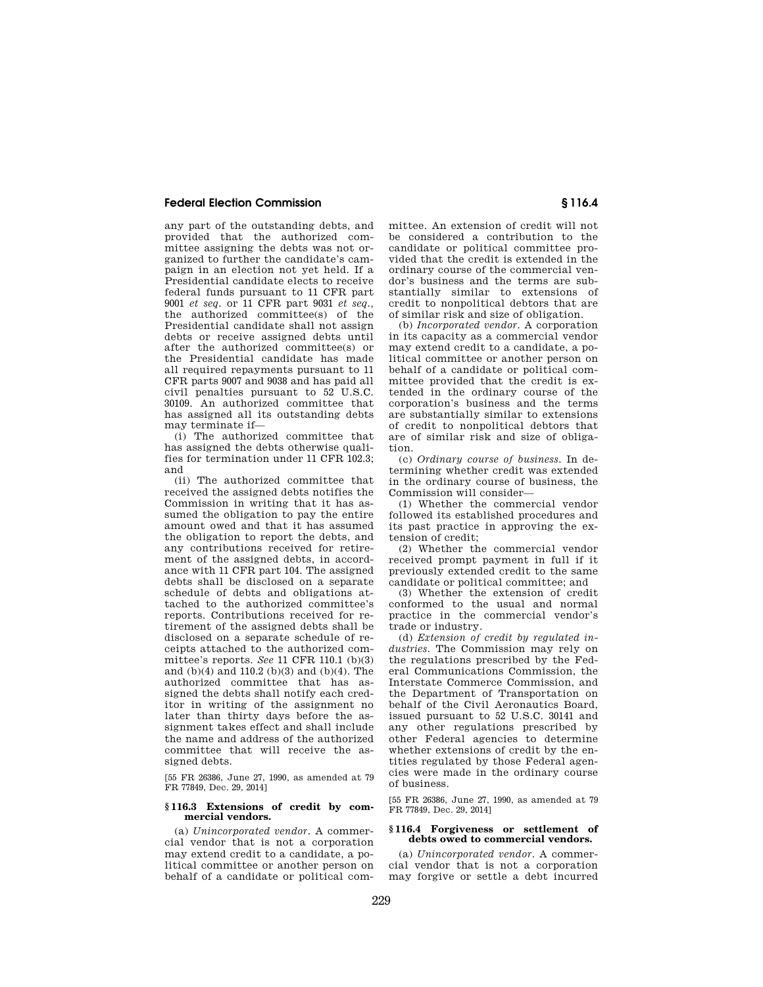any part of the outstanding debts, and provided that the authorized committee assigning the debts was not organized to further the candidate's campaign in an election not yet held. If a Presidential candidate elects to receive federal funds pursuant to 11 CFR part 9001 *et seq.* or 11 CFR part 9031 *et seq.,*  the authorized committee(s) of the Presidential candidate shall not assign debts or receive assigned debts until after the authorized committee(s) or the Presidential candidate has made all required repayments pursuant to 11 CFR parts 9007 and 9038 and has paid all civil penalties pursuant to 52 U.S.C. 30109. An authorized committee that has assigned all its outstanding debts may terminate if—

(i) The authorized committee that has assigned the debts otherwise qualifies for termination under 11 CFR 102.3; and

(ii) The authorized committee that received the assigned debts notifies the Commission in writing that it has assumed the obligation to pay the entire amount owed and that it has assumed the obligation to report the debts, and any contributions received for retirement of the assigned debts, in accordance with 11 CFR part 104. The assigned debts shall be disclosed on a separate schedule of debts and obligations attached to the authorized committee's reports. Contributions received for retirement of the assigned debts shall be disclosed on a separate schedule of receipts attached to the authorized committee's reports. *See* 11 CFR 110.1 (b)(3) and (b)(4) and 110.2 (b)(3) and (b)(4). The authorized committee that has assigned the debts shall notify each creditor in writing of the assignment no later than thirty days before the assignment takes effect and shall include the name and address of the authorized committee that will receive the assigned debts.

[55 FR 26386, June 27, 1990, as amended at 79 FR 77849, Dec. 29, 2014]

## **§ 116.3 Extensions of credit by commercial vendors.**

(a) *Unincorporated vendor.* A commercial vendor that is not a corporation may extend credit to a candidate, a political committee or another person on behalf of a candidate or political committee. An extension of credit will not be considered a contribution to the candidate or political committee provided that the credit is extended in the ordinary course of the commercial vendor's business and the terms are substantially similar to extensions of credit to nonpolitical debtors that are of similar risk and size of obligation.

(b) *Incorporated vendor.* A corporation in its capacity as a commercial vendor may extend credit to a candidate, a political committee or another person on behalf of a candidate or political committee provided that the credit is extended in the ordinary course of the corporation's business and the terms are substantially similar to extensions of credit to nonpolitical debtors that are of similar risk and size of obligation.

(c) *Ordinary course of business.* In determining whether credit was extended in the ordinary course of business, the Commission will consider—

(1) Whether the commercial vendor followed its established procedures and its past practice in approving the extension of credit;

(2) Whether the commercial vendor received prompt payment in full if it previously extended credit to the same candidate or political committee; and

(3) Whether the extension of credit conformed to the usual and normal practice in the commercial vendor's trade or industry.

(d) *Extension of credit by regulated industries.* The Commission may rely on the regulations prescribed by the Federal Communications Commission, the Interstate Commerce Commission, and the Department of Transportation on behalf of the Civil Aeronautics Board, issued pursuant to 52 U.S.C. 30141 and any other regulations prescribed by other Federal agencies to determine whether extensions of credit by the entities regulated by those Federal agencies were made in the ordinary course of business.

[55 FR 26386, June 27, 1990, as amended at 79 FR 77849, Dec. 29, 2014]

## **§ 116.4 Forgiveness or settlement of debts owed to commercial vendors.**

(a) *Unincorporated vendor.* A commercial vendor that is not a corporation may forgive or settle a debt incurred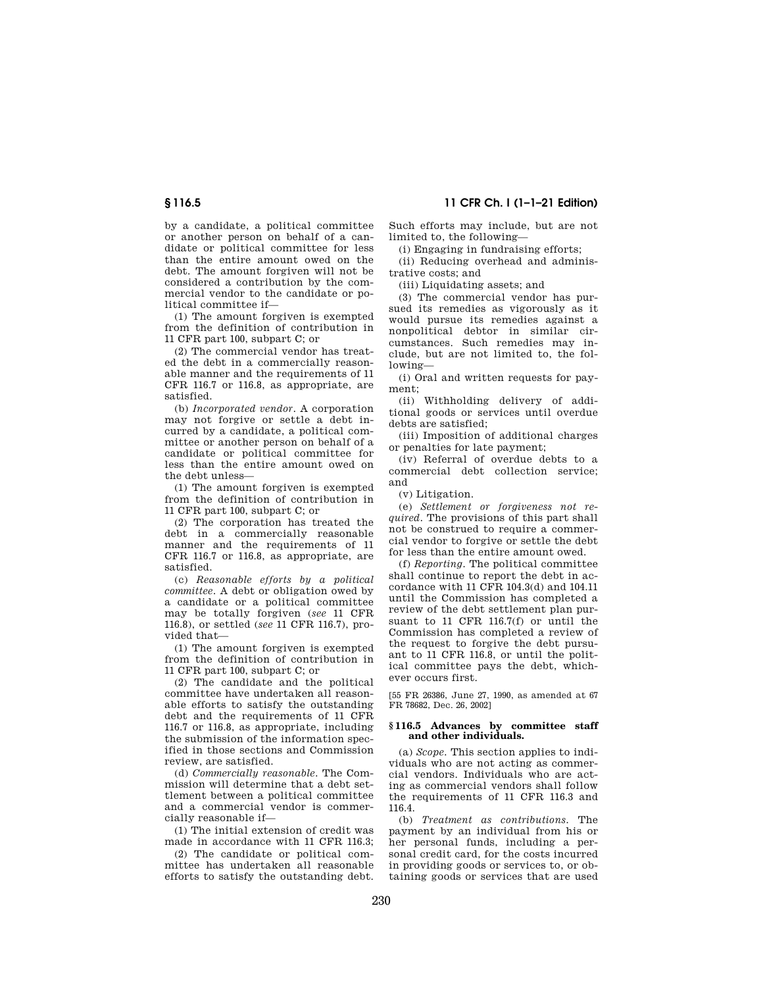by a candidate, a political committee or another person on behalf of a candidate or political committee for less than the entire amount owed on the debt. The amount forgiven will not be considered a contribution by the commercial vendor to the candidate or political committee if—

(1) The amount forgiven is exempted from the definition of contribution in 11 CFR part 100, subpart C; or

(2) The commercial vendor has treated the debt in a commercially reasonable manner and the requirements of 11 CFR 116.7 or 116.8, as appropriate, are satisfied.

(b) *Incorporated vendor.* A corporation may not forgive or settle a debt incurred by a candidate, a political committee or another person on behalf of a candidate or political committee for less than the entire amount owed on the debt unless—

(1) The amount forgiven is exempted from the definition of contribution in 11 CFR part 100, subpart C; or

(2) The corporation has treated the debt in a commercially reasonable manner and the requirements of 11 CFR 116.7 or 116.8, as appropriate, are satisfied.

(c) *Reasonable efforts by a political committee.* A debt or obligation owed by a candidate or a political committee may be totally forgiven (*see* 11 CFR 116.8), or settled (*see* 11 CFR 116.7), provided that—

(1) The amount forgiven is exempted from the definition of contribution in 11 CFR part 100, subpart C; or

(2) The candidate and the political committee have undertaken all reasonable efforts to satisfy the outstanding debt and the requirements of 11 CFR 116.7 or 116.8, as appropriate, including the submission of the information specified in those sections and Commission review, are satisfied.

(d) *Commercially reasonable.* The Commission will determine that a debt settlement between a political committee and a commercial vendor is commercially reasonable if—

(1) The initial extension of credit was made in accordance with 11 CFR 116.3;

(2) The candidate or political committee has undertaken all reasonable efforts to satisfy the outstanding debt.

**§ 116.5 11 CFR Ch. I (1–1–21 Edition)** 

Such efforts may include, but are not limited to, the following—

(i) Engaging in fundraising efforts;

(ii) Reducing overhead and administrative costs; and

(iii) Liquidating assets; and

(3) The commercial vendor has pursued its remedies as vigorously as it would pursue its remedies against a nonpolitical debtor in similar circumstances. Such remedies may include, but are not limited to, the following—

(i) Oral and written requests for payment;

(ii) Withholding delivery of additional goods or services until overdue debts are satisfied;

(iii) Imposition of additional charges or penalties for late payment;

(iv) Referral of overdue debts to a commercial debt collection service; and

(v) Litigation.

(e) *Settlement or forgiveness not required.* The provisions of this part shall not be construed to require a commercial vendor to forgive or settle the debt for less than the entire amount owed.

(f) *Reporting.* The political committee shall continue to report the debt in accordance with 11 CFR 104.3(d) and 104.11 until the Commission has completed a review of the debt settlement plan pursuant to 11 CFR 116.7(f) or until the Commission has completed a review of the request to forgive the debt pursuant to 11 CFR 116.8, or until the political committee pays the debt, whichever occurs first.

[55 FR 26386, June 27, 1990, as amended at 67 FR 78682, Dec. 26, 2002]

## **§ 116.5 Advances by committee staff and other individuals.**

(a) *Scope.* This section applies to individuals who are not acting as commercial vendors. Individuals who are acting as commercial vendors shall follow the requirements of 11 CFR 116.3 and 116.4.

(b) *Treatment as contributions.* The payment by an individual from his or her personal funds, including a personal credit card, for the costs incurred in providing goods or services to, or obtaining goods or services that are used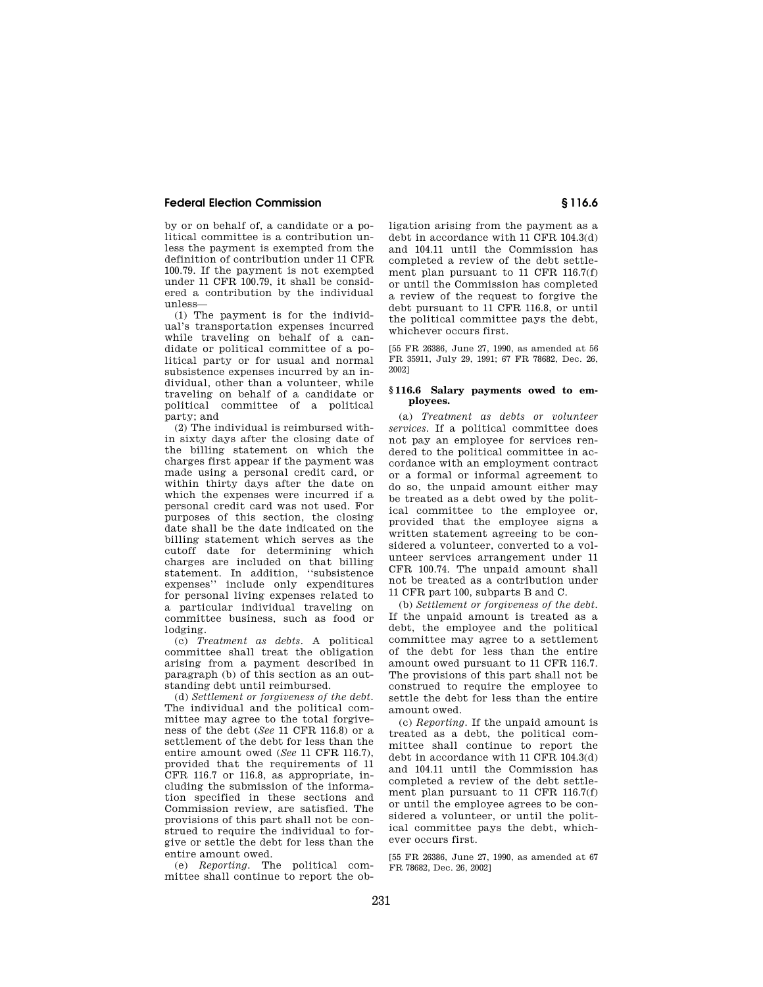by or on behalf of, a candidate or a political committee is a contribution unless the payment is exempted from the definition of contribution under 11 CFR 100.79. If the payment is not exempted under 11 CFR 100.79, it shall be considered a contribution by the individual unless—

(1) The payment is for the individual's transportation expenses incurred while traveling on behalf of a candidate or political committee of a political party or for usual and normal subsistence expenses incurred by an individual, other than a volunteer, while traveling on behalf of a candidate or political committee of a political party; and

(2) The individual is reimbursed within sixty days after the closing date of the billing statement on which the charges first appear if the payment was made using a personal credit card, or within thirty days after the date on which the expenses were incurred if a personal credit card was not used. For purposes of this section, the closing date shall be the date indicated on the billing statement which serves as the cutoff date for determining which charges are included on that billing statement. In addition, ''subsistence expenses'' include only expenditures for personal living expenses related to a particular individual traveling on committee business, such as food or lodging

(c) *Treatment as debts.* A political committee shall treat the obligation arising from a payment described in paragraph (b) of this section as an outstanding debt until reimbursed.

(d) *Settlement or forgiveness of the debt.*  The individual and the political committee may agree to the total forgiveness of the debt (*See* 11 CFR 116.8) or a settlement of the debt for less than the entire amount owed (*See* 11 CFR 116.7), provided that the requirements of 11 CFR 116.7 or 116.8, as appropriate, including the submission of the information specified in these sections and Commission review, are satisfied. The provisions of this part shall not be construed to require the individual to forgive or settle the debt for less than the entire amount owed.

(e) *Reporting.* The political committee shall continue to report the obligation arising from the payment as a debt in accordance with 11 CFR 104.3(d) and 104.11 until the Commission has completed a review of the debt settlement plan pursuant to 11 CFR 116.7(f) or until the Commission has completed a review of the request to forgive the debt pursuant to 11 CFR 116.8, or until the political committee pays the debt, whichever occurs first.

[55 FR 26386, June 27, 1990, as amended at 56 FR 35911, July 29, 1991; 67 FR 78682, Dec. 26, 2002]

## **§ 116.6 Salary payments owed to employees.**

(a) *Treatment as debts or volunteer services.* If a political committee does not pay an employee for services rendered to the political committee in accordance with an employment contract or a formal or informal agreement to do so, the unpaid amount either may be treated as a debt owed by the political committee to the employee or, provided that the employee signs a written statement agreeing to be considered a volunteer, converted to a volunteer services arrangement under 11 CFR 100.74. The unpaid amount shall not be treated as a contribution under 11 CFR part 100, subparts B and C.

(b) *Settlement or forgiveness of the debt.*  If the unpaid amount is treated as a debt, the employee and the political committee may agree to a settlement of the debt for less than the entire amount owed pursuant to 11 CFR 116.7. The provisions of this part shall not be construed to require the employee to settle the debt for less than the entire amount owed.

(c) *Reporting.* If the unpaid amount is treated as a debt, the political committee shall continue to report the debt in accordance with 11 CFR 104.3(d) and 104.11 until the Commission has completed a review of the debt settlement plan pursuant to 11 CFR 116.7(f) or until the employee agrees to be considered a volunteer, or until the political committee pays the debt, whichever occurs first.

[55 FR 26386, June 27, 1990, as amended at 67 FR 78682, Dec. 26, 2002]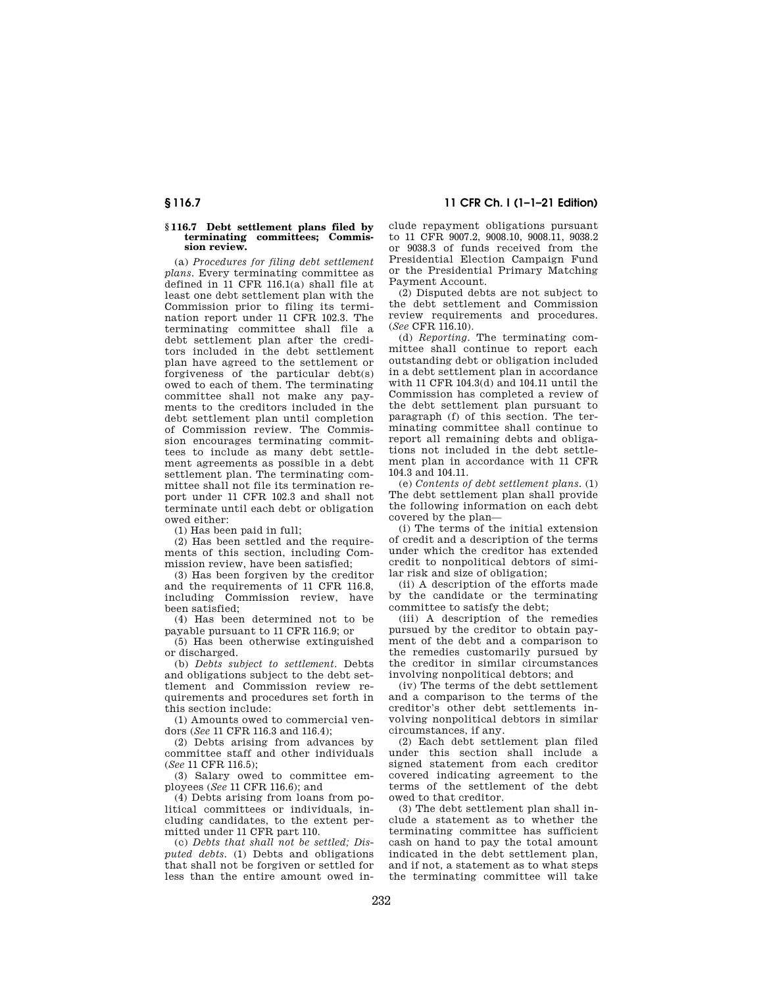# **§ 116.7 11 CFR Ch. I (1–1–21 Edition)**

## **§ 116.7 Debt settlement plans filed by terminating committees; Commission review.**

(a) *Procedures for filing debt settlement plans.* Every terminating committee as defined in 11 CFR 116.1(a) shall file at least one debt settlement plan with the Commission prior to filing its termination report under 11 CFR 102.3. The terminating committee shall file a debt settlement plan after the creditors included in the debt settlement plan have agreed to the settlement or forgiveness of the particular debt(s) owed to each of them. The terminating committee shall not make any payments to the creditors included in the debt settlement plan until completion of Commission review. The Commission encourages terminating committees to include as many debt settlement agreements as possible in a debt settlement plan. The terminating committee shall not file its termination report under 11 CFR 102.3 and shall not terminate until each debt or obligation owed either:

(1) Has been paid in full;

(2) Has been settled and the requirements of this section, including Commission review, have been satisfied;

(3) Has been forgiven by the creditor and the requirements of 11 CFR 116.8, including Commission review, have been satisfied;

(4) Has been determined not to be payable pursuant to 11 CFR 116.9; or

(5) Has been otherwise extinguished or discharged.

(b) *Debts subject to settlement.* Debts and obligations subject to the debt settlement and Commission review requirements and procedures set forth in this section include:

(1) Amounts owed to commercial vendors (*See* 11 CFR 116.3 and 116.4);

(2) Debts arising from advances by committee staff and other individuals (*See* 11 CFR 116.5);

(3) Salary owed to committee employees (*See* 11 CFR 116.6); and

(4) Debts arising from loans from political committees or individuals, including candidates, to the extent permitted under 11 CFR part 110.

(c) *Debts that shall not be settled; Disputed debts.* (1) Debts and obligations that shall not be forgiven or settled for less than the entire amount owed include repayment obligations pursuant to 11 CFR 9007.2, 9008.10, 9008.11, 9038.2 or 9038.3 of funds received from the Presidential Election Campaign Fund or the Presidential Primary Matching Payment Account.

(2) Disputed debts are not subject to the debt settlement and Commission review requirements and procedures. (*See* CFR 116.10).

(d) *Reporting.* The terminating committee shall continue to report each outstanding debt or obligation included in a debt settlement plan in accordance with 11 CFR 104.3(d) and 104.11 until the Commission has completed a review of the debt settlement plan pursuant to paragraph (f) of this section. The terminating committee shall continue to report all remaining debts and obligations not included in the debt settlement plan in accordance with 11 CFR 104.3 and 104.11.

(e) *Contents of debt settlement plans.* (1) The debt settlement plan shall provide the following information on each debt covered by the plan—

(i) The terms of the initial extension of credit and a description of the terms under which the creditor has extended credit to nonpolitical debtors of similar risk and size of obligation;

(ii) A description of the efforts made by the candidate or the terminating committee to satisfy the debt;

(iii) A description of the remedies pursued by the creditor to obtain payment of the debt and a comparison to the remedies customarily pursued by the creditor in similar circumstances involving nonpolitical debtors; and

(iv) The terms of the debt settlement and a comparison to the terms of the creditor's other debt settlements involving nonpolitical debtors in similar circumstances, if any.

(2) Each debt settlement plan filed under this section shall include a signed statement from each creditor covered indicating agreement to the terms of the settlement of the debt owed to that creditor.

(3) The debt settlement plan shall include a statement as to whether the terminating committee has sufficient cash on hand to pay the total amount indicated in the debt settlement plan, and if not, a statement as to what steps the terminating committee will take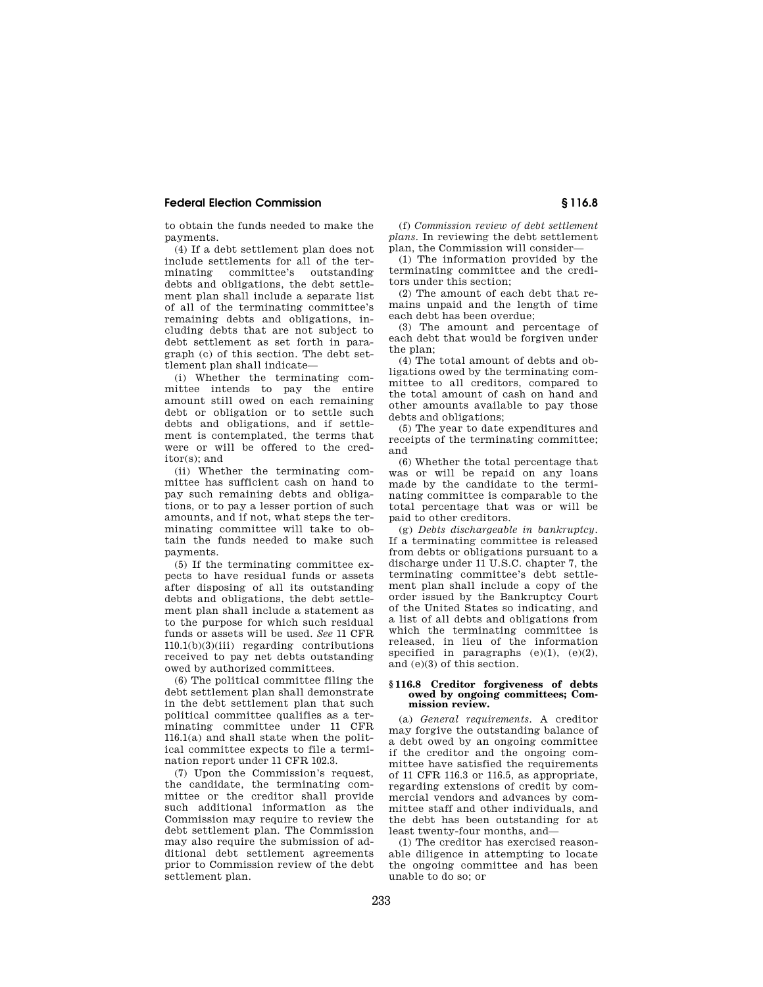to obtain the funds needed to make the payments.

(4) If a debt settlement plan does not include settlements for all of the terminating committee's outstanding debts and obligations, the debt settlement plan shall include a separate list of all of the terminating committee's remaining debts and obligations, including debts that are not subject to debt settlement as set forth in paragraph (c) of this section. The debt settlement plan shall indicate—

(i) Whether the terminating committee intends to pay the entire amount still owed on each remaining debt or obligation or to settle such debts and obligations, and if settlement is contemplated, the terms that were or will be offered to the creditor(s); and

(ii) Whether the terminating committee has sufficient cash on hand to pay such remaining debts and obligations, or to pay a lesser portion of such amounts, and if not, what steps the terminating committee will take to obtain the funds needed to make such payments.

(5) If the terminating committee expects to have residual funds or assets after disposing of all its outstanding debts and obligations, the debt settlement plan shall include a statement as to the purpose for which such residual funds or assets will be used. *See* 11 CFR 110.1(b)(3)(iii) regarding contributions received to pay net debts outstanding owed by authorized committees.

(6) The political committee filing the debt settlement plan shall demonstrate in the debt settlement plan that such political committee qualifies as a terminating committee under 11 CFR 116.1(a) and shall state when the political committee expects to file a termination report under 11 CFR 102.3.

(7) Upon the Commission's request, the candidate, the terminating committee or the creditor shall provide such additional information as the Commission may require to review the debt settlement plan. The Commission may also require the submission of additional debt settlement agreements prior to Commission review of the debt settlement plan.

(f) *Commission review of debt settlement plans.* In reviewing the debt settlement plan, the Commission will consider—

(1) The information provided by the terminating committee and the creditors under this section;

(2) The amount of each debt that remains unpaid and the length of time each debt has been overdue;

(3) The amount and percentage of each debt that would be forgiven under the plan;

(4) The total amount of debts and obligations owed by the terminating committee to all creditors, compared to the total amount of cash on hand and other amounts available to pay those debts and obligations;

(5) The year to date expenditures and receipts of the terminating committee; and

(6) Whether the total percentage that was or will be repaid on any loans made by the candidate to the terminating committee is comparable to the total percentage that was or will be paid to other creditors.

(g) *Debts dischargeable in bankruptcy.*  If a terminating committee is released from debts or obligations pursuant to a discharge under 11 U.S.C. chapter 7, the terminating committee's debt settlement plan shall include a copy of the order issued by the Bankruptcy Court of the United States so indicating, and a list of all debts and obligations from which the terminating committee is released, in lieu of the information specified in paragraphs  $(e)(1)$ ,  $(e)(2)$ , and (e)(3) of this section.

## **§ 116.8 Creditor forgiveness of debts owed by ongoing committees; Commission review.**

(a) *General requirements.* A creditor may forgive the outstanding balance of a debt owed by an ongoing committee if the creditor and the ongoing committee have satisfied the requirements of 11 CFR 116.3 or 116.5, as appropriate, regarding extensions of credit by commercial vendors and advances by committee staff and other individuals, and the debt has been outstanding for at least twenty-four months, and—

(1) The creditor has exercised reasonable diligence in attempting to locate the ongoing committee and has been unable to do so; or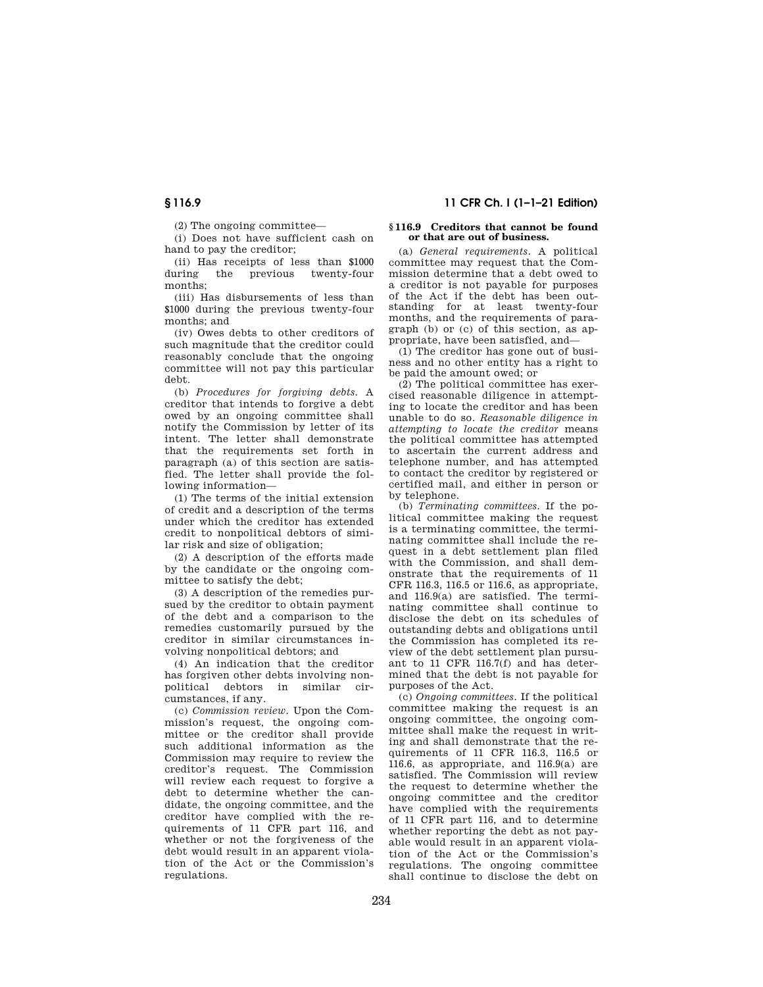(2) The ongoing committee—

(i) Does not have sufficient cash on hand to pay the creditor;

(ii) Has receipts of less than \$1000 during the previous twenty-four months;

(iii) Has disbursements of less than \$1000 during the previous twenty-four months; and

(iv) Owes debts to other creditors of such magnitude that the creditor could reasonably conclude that the ongoing committee will not pay this particular debt.

(b) *Procedures for forgiving debts.* A creditor that intends to forgive a debt owed by an ongoing committee shall notify the Commission by letter of its intent. The letter shall demonstrate that the requirements set forth in paragraph (a) of this section are satisfied. The letter shall provide the following information—

(1) The terms of the initial extension of credit and a description of the terms under which the creditor has extended credit to nonpolitical debtors of similar risk and size of obligation;

(2) A description of the efforts made by the candidate or the ongoing committee to satisfy the debt;

(3) A description of the remedies pursued by the creditor to obtain payment of the debt and a comparison to the remedies customarily pursued by the creditor in similar circumstances involving nonpolitical debtors; and

(4) An indication that the creditor has forgiven other debts involving nonpolitical debtors in similar circumstances, if any.

(c) *Commission review.* Upon the Commission's request, the ongoing committee or the creditor shall provide such additional information as the Commission may require to review the creditor's request. The Commission will review each request to forgive a debt to determine whether the candidate, the ongoing committee, and the creditor have complied with the requirements of 11 CFR part 116, and whether or not the forgiveness of the debt would result in an apparent violation of the Act or the Commission's regulations.

# **§ 116.9 11 CFR Ch. I (1–1–21 Edition)**

## **§ 116.9 Creditors that cannot be found or that are out of business.**

(a) *General requirements.* A political committee may request that the Commission determine that a debt owed to a creditor is not payable for purposes of the Act if the debt has been outstanding for at least twenty-four months, and the requirements of paragraph (b) or (c) of this section, as appropriate, have been satisfied, and—

(1) The creditor has gone out of business and no other entity has a right to be paid the amount owed; or

 $(2)$  The political committee has exercised reasonable diligence in attempting to locate the creditor and has been unable to do so. *Reasonable diligence in attempting to locate the creditor* means the political committee has attempted to ascertain the current address and telephone number, and has attempted to contact the creditor by registered or certified mail, and either in person or by telephone.

(b) *Terminating committees.* If the political committee making the request is a terminating committee, the terminating committee shall include the request in a debt settlement plan filed with the Commission, and shall demonstrate that the requirements of 11 CFR 116.3, 116.5 or 116.6, as appropriate, and 116.9(a) are satisfied. The terminating committee shall continue to disclose the debt on its schedules of outstanding debts and obligations until the Commission has completed its review of the debt settlement plan pursuant to 11 CFR 116.7(f) and has determined that the debt is not payable for purposes of the Act.

(c) *Ongoing committees.* If the political committee making the request is an ongoing committee, the ongoing committee shall make the request in writing and shall demonstrate that the requirements of 11 CFR 116.3, 116.5 or 116.6, as appropriate, and 116.9(a) are satisfied. The Commission will review the request to determine whether the ongoing committee and the creditor have complied with the requirements of 11 CFR part 116, and to determine whether reporting the debt as not payable would result in an apparent violation of the Act or the Commission's regulations. The ongoing committee shall continue to disclose the debt on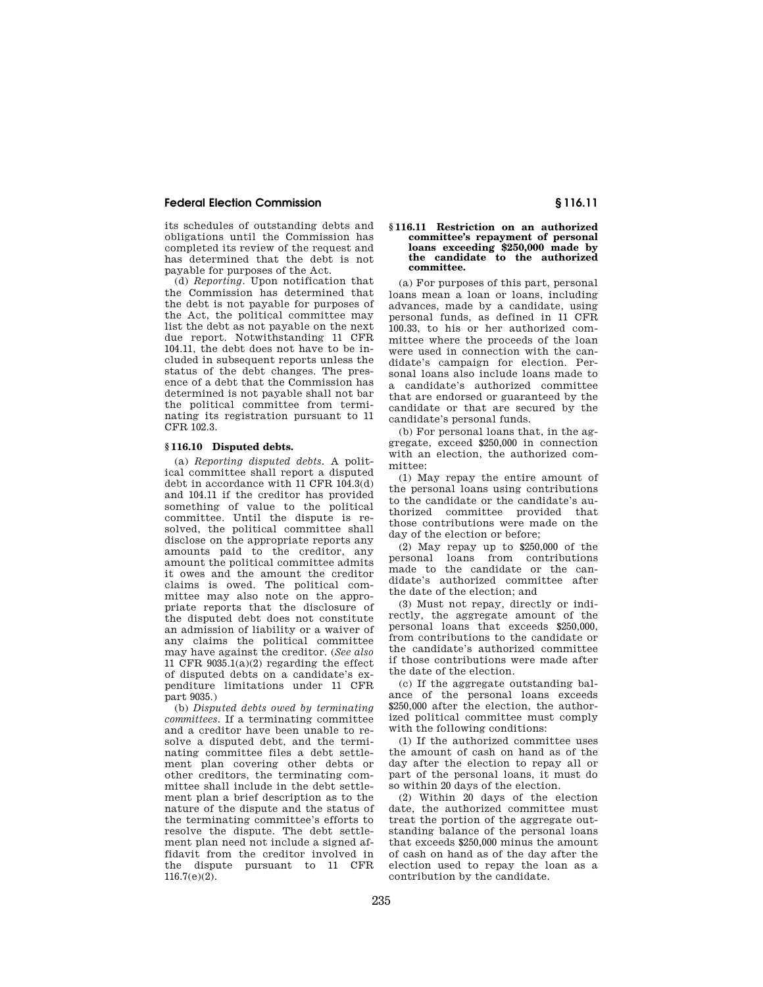its schedules of outstanding debts and obligations until the Commission has completed its review of the request and has determined that the debt is not payable for purposes of the Act.

(d) *Reporting.* Upon notification that the Commission has determined that the debt is not payable for purposes of the Act, the political committee may list the debt as not payable on the next due report. Notwithstanding 11 CFR 104.11, the debt does not have to be included in subsequent reports unless the status of the debt changes. The presence of a debt that the Commission has determined is not payable shall not bar the political committee from terminating its registration pursuant to 11 CFR 102.3.

# **§ 116.10 Disputed debts.**

(a) *Reporting disputed debts.* A political committee shall report a disputed debt in accordance with 11 CFR 104.3(d) and 104.11 if the creditor has provided something of value to the political committee. Until the dispute is resolved, the political committee shall disclose on the appropriate reports any amounts paid to the creditor, any amount the political committee admits it owes and the amount the creditor claims is owed. The political committee may also note on the appropriate reports that the disclosure of the disputed debt does not constitute an admission of liability or a waiver of any claims the political committee may have against the creditor. (*See also*  11 CFR 9035.1(a)(2) regarding the effect of disputed debts on a candidate's expenditure limitations under 11 CFR part 9035.)

(b) *Disputed debts owed by terminating committees.* If a terminating committee and a creditor have been unable to resolve a disputed debt, and the terminating committee files a debt settlement plan covering other debts or other creditors, the terminating committee shall include in the debt settlement plan a brief description as to the nature of the dispute and the status of the terminating committee's efforts to resolve the dispute. The debt settlement plan need not include a signed affidavit from the creditor involved in the dispute pursuant to 11 CFR  $116.7(e)(2)$ .

## **§ 116.11 Restriction on an authorized committee's repayment of personal loans exceeding \$250,000 made by the candidate to the authorized committee.**

(a) For purposes of this part, personal loans mean a loan or loans, including advances, made by a candidate, using personal funds, as defined in 11 CFR 100.33, to his or her authorized committee where the proceeds of the loan were used in connection with the candidate's campaign for election. Personal loans also include loans made to a candidate's authorized committee that are endorsed or guaranteed by the candidate or that are secured by the candidate's personal funds.

(b) For personal loans that, in the aggregate, exceed \$250,000 in connection with an election, the authorized committee:

(1) May repay the entire amount of the personal loans using contributions to the candidate or the candidate's authorized committee provided that those contributions were made on the day of the election or before;

(2) May repay up to \$250,000 of the personal loans from contributions made to the candidate or the candidate's authorized committee after the date of the election; and

(3) Must not repay, directly or indirectly, the aggregate amount of the personal loans that exceeds \$250,000, from contributions to the candidate or the candidate's authorized committee if those contributions were made after the date of the election.

(c) If the aggregate outstanding balance of the personal loans exceeds \$250,000 after the election, the authorized political committee must comply with the following conditions:

(1) If the authorized committee uses the amount of cash on hand as of the day after the election to repay all or part of the personal loans, it must do so within 20 days of the election.

(2) Within 20 days of the election date, the authorized committee must treat the portion of the aggregate outstanding balance of the personal loans that exceeds \$250,000 minus the amount of cash on hand as of the day after the election used to repay the loan as a contribution by the candidate.